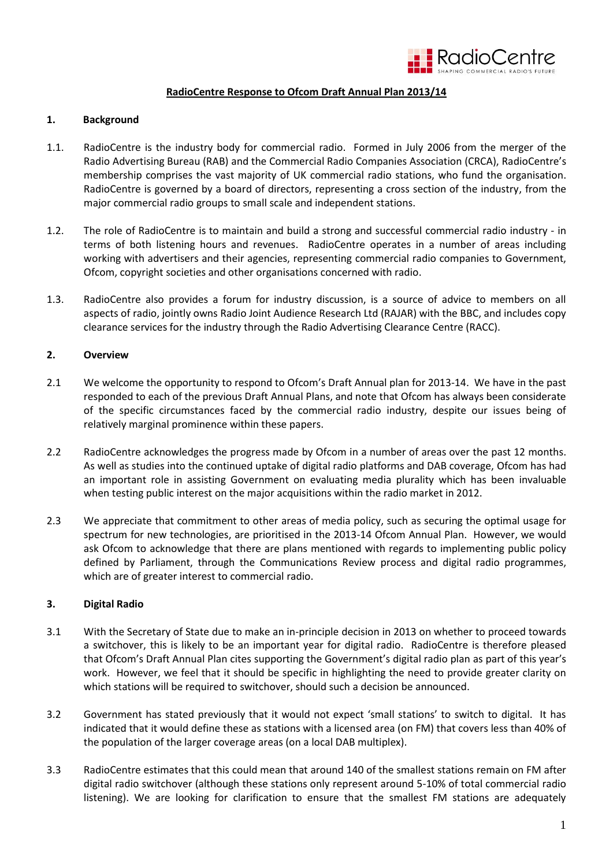

## **RadioCentre Response to Ofcom Draft Annual Plan 2013/14**

### **1. Background**

- 1.1. RadioCentre is the industry body for commercial radio. Formed in July 2006 from the merger of the Radio Advertising Bureau (RAB) and the Commercial Radio Companies Association (CRCA), RadioCentre's membership comprises the vast majority of UK commercial radio stations, who fund the organisation. RadioCentre is governed by a board of directors, representing a cross section of the industry, from the major commercial radio groups to small scale and independent stations.
- 1.2. The role of RadioCentre is to maintain and build a strong and successful commercial radio industry in terms of both listening hours and revenues. RadioCentre operates in a number of areas including working with advertisers and their agencies, representing commercial radio companies to Government, Ofcom, copyright societies and other organisations concerned with radio.
- 1.3. RadioCentre also provides a forum for industry discussion, is a source of advice to members on all aspects of radio, jointly owns Radio Joint Audience Research Ltd (RAJAR) with the BBC, and includes copy clearance services for the industry through the Radio Advertising Clearance Centre (RACC).

# **2. Overview**

- 2.1 We welcome the opportunity to respond to Ofcom's Draft Annual plan for 2013-14. We have in the past responded to each of the previous Draft Annual Plans, and note that Ofcom has always been considerate of the specific circumstances faced by the commercial radio industry, despite our issues being of relatively marginal prominence within these papers.
- 2.2 RadioCentre acknowledges the progress made by Ofcom in a number of areas over the past 12 months. As well as studies into the continued uptake of digital radio platforms and DAB coverage, Ofcom has had an important role in assisting Government on evaluating media plurality which has been invaluable when testing public interest on the major acquisitions within the radio market in 2012.
- 2.3 We appreciate that commitment to other areas of media policy, such as securing the optimal usage for spectrum for new technologies, are prioritised in the 2013-14 Ofcom Annual Plan. However, we would ask Ofcom to acknowledge that there are plans mentioned with regards to implementing public policy defined by Parliament, through the Communications Review process and digital radio programmes, which are of greater interest to commercial radio.

### **3. Digital Radio**

- 3.1 With the Secretary of State due to make an in-principle decision in 2013 on whether to proceed towards a switchover, this is likely to be an important year for digital radio. RadioCentre is therefore pleased that Ofcom's Draft Annual Plan cites supporting the Government's digital radio plan as part of this year's work. However, we feel that it should be specific in highlighting the need to provide greater clarity on which stations will be required to switchover, should such a decision be announced.
- 3.2 Government has stated previously that it would not expect 'small stations' to switch to digital. It has indicated that it would define these as stations with a licensed area (on FM) that covers less than 40% of the population of the larger coverage areas (on a local DAB multiplex).
- 3.3 RadioCentre estimates that this could mean that around 140 of the smallest stations remain on FM after digital radio switchover (although these stations only represent around 5-10% of total commercial radio listening). We are looking for clarification to ensure that the smallest FM stations are adequately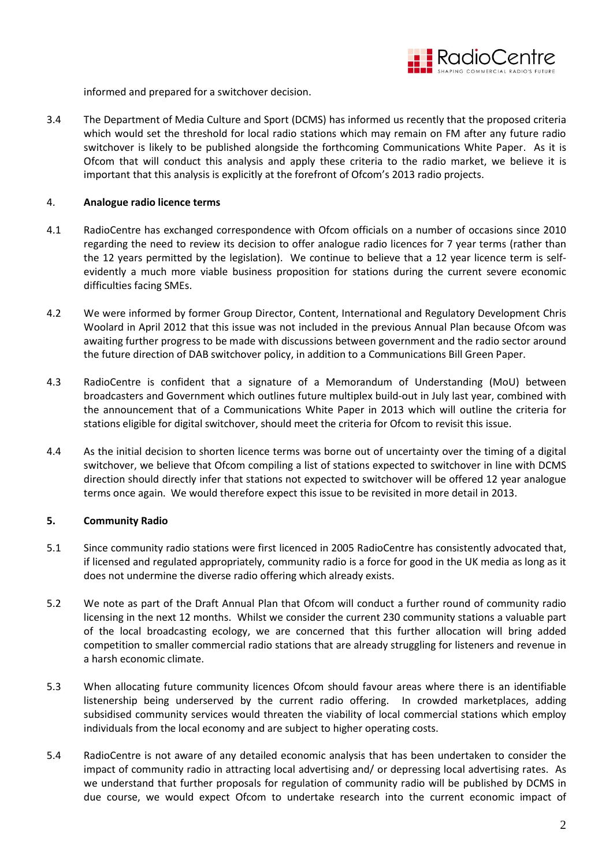

informed and prepared for a switchover decision.

3.4 The Department of Media Culture and Sport (DCMS) has informed us recently that the proposed criteria which would set the threshold for local radio stations which may remain on FM after any future radio switchover is likely to be published alongside the forthcoming Communications White Paper. As it is Ofcom that will conduct this analysis and apply these criteria to the radio market, we believe it is important that this analysis is explicitly at the forefront of Ofcom's 2013 radio projects.

### 4. **Analogue radio licence terms**

- 4.1 RadioCentre has exchanged correspondence with Ofcom officials on a number of occasions since 2010 regarding the need to review its decision to offer analogue radio licences for 7 year terms (rather than the 12 years permitted by the legislation). We continue to believe that a 12 year licence term is selfevidently a much more viable business proposition for stations during the current severe economic difficulties facing SMEs.
- 4.2 We were informed by former Group Director, Content, International and Regulatory Development Chris Woolard in April 2012 that this issue was not included in the previous Annual Plan because Ofcom was awaiting further progress to be made with discussions between government and the radio sector around the future direction of DAB switchover policy, in addition to a Communications Bill Green Paper.
- 4.3 RadioCentre is confident that a signature of a Memorandum of Understanding (MoU) between broadcasters and Government which outlines future multiplex build-out in July last year, combined with the announcement that of a Communications White Paper in 2013 which will outline the criteria for stations eligible for digital switchover, should meet the criteria for Ofcom to revisit this issue.
- 4.4 As the initial decision to shorten licence terms was borne out of uncertainty over the timing of a digital switchover, we believe that Ofcom compiling a list of stations expected to switchover in line with DCMS direction should directly infer that stations not expected to switchover will be offered 12 year analogue terms once again. We would therefore expect this issue to be revisited in more detail in 2013.

### **5. Community Radio**

- 5.1 Since community radio stations were first licenced in 2005 RadioCentre has consistently advocated that, if licensed and regulated appropriately, community radio is a force for good in the UK media as long as it does not undermine the diverse radio offering which already exists.
- 5.2 We note as part of the Draft Annual Plan that Ofcom will conduct a further round of community radio licensing in the next 12 months. Whilst we consider the current 230 community stations a valuable part of the local broadcasting ecology, we are concerned that this further allocation will bring added competition to smaller commercial radio stations that are already struggling for listeners and revenue in a harsh economic climate.
- 5.3 When allocating future community licences Ofcom should favour areas where there is an identifiable listenership being underserved by the current radio offering. In crowded marketplaces, adding subsidised community services would threaten the viability of local commercial stations which employ individuals from the local economy and are subject to higher operating costs.
- 5.4 RadioCentre is not aware of any detailed economic analysis that has been undertaken to consider the impact of community radio in attracting local advertising and/ or depressing local advertising rates. As we understand that further proposals for regulation of community radio will be published by DCMS in due course, we would expect Ofcom to undertake research into the current economic impact of